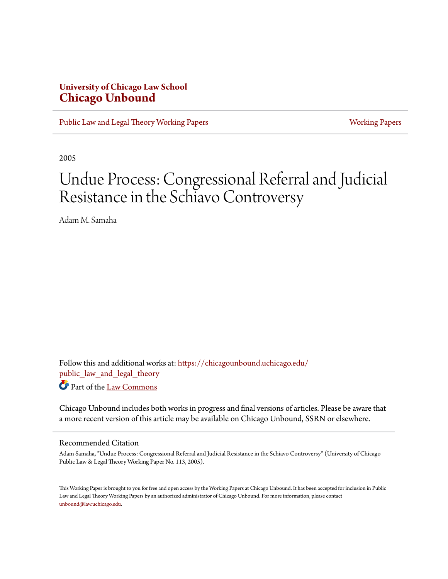## **University of Chicago Law School [Chicago Unbound](https://chicagounbound.uchicago.edu?utm_source=chicagounbound.uchicago.edu%2Fpublic_law_and_legal_theory%2F369&utm_medium=PDF&utm_campaign=PDFCoverPages)**

[Public Law and Legal Theory Working Papers](https://chicagounbound.uchicago.edu/public_law_and_legal_theory?utm_source=chicagounbound.uchicago.edu%2Fpublic_law_and_legal_theory%2F369&utm_medium=PDF&utm_campaign=PDFCoverPages) **[Working Papers](https://chicagounbound.uchicago.edu/working_papers?utm_source=chicagounbound.uchicago.edu%2Fpublic_law_and_legal_theory%2F369&utm_medium=PDF&utm_campaign=PDFCoverPages)** Working Papers

2005

# Undue Process: Congressional Referral and Judicial Resistance in the Schiavo Controversy

Adam M. Samaha

Follow this and additional works at: [https://chicagounbound.uchicago.edu/](https://chicagounbound.uchicago.edu/public_law_and_legal_theory?utm_source=chicagounbound.uchicago.edu%2Fpublic_law_and_legal_theory%2F369&utm_medium=PDF&utm_campaign=PDFCoverPages) public law and legal theory Part of the [Law Commons](http://network.bepress.com/hgg/discipline/578?utm_source=chicagounbound.uchicago.edu%2Fpublic_law_and_legal_theory%2F369&utm_medium=PDF&utm_campaign=PDFCoverPages)

Chicago Unbound includes both works in progress and final versions of articles. Please be aware that a more recent version of this article may be available on Chicago Unbound, SSRN or elsewhere.

#### Recommended Citation

Adam Samaha, "Undue Process: Congressional Referral and Judicial Resistance in the Schiavo Controversy" (University of Chicago Public Law & Legal Theory Working Paper No. 113, 2005).

This Working Paper is brought to you for free and open access by the Working Papers at Chicago Unbound. It has been accepted for inclusion in Public Law and Legal Theory Working Papers by an authorized administrator of Chicago Unbound. For more information, please contact [unbound@law.uchicago.edu](mailto:unbound@law.uchicago.edu).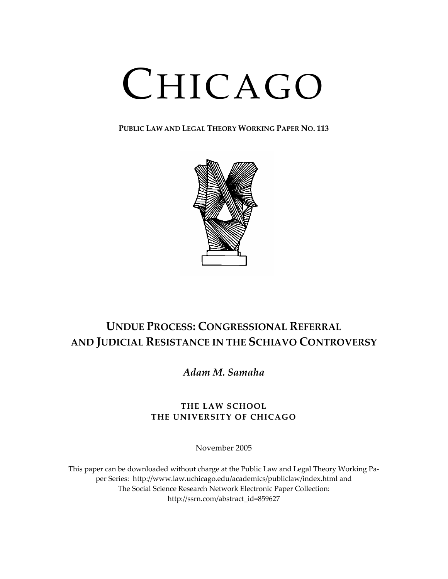# CHICAGO

**PUBLIC LAW AND LEGAL THEORY WORKING PAPER NO. 113**



# **UNDUE PROCESS: CONGRESSIONAL REFERRAL AND JUDICIAL RESISTANCE IN THE SCHIAVO CONTROVERSY**

*Adam M. Samaha*

### **THE LAW SCHOOL THE UNIVERSITY OF CHICAGO**

November 2005

This paper can be downloaded without charge at the Public Law and Legal Theory Working Pa‐ per Series: http://www.law.uchicago.edu/academics/publiclaw/index.html and The Social Science Research Network Electronic Paper Collection: http://ssrn.com/abstract\_id=859627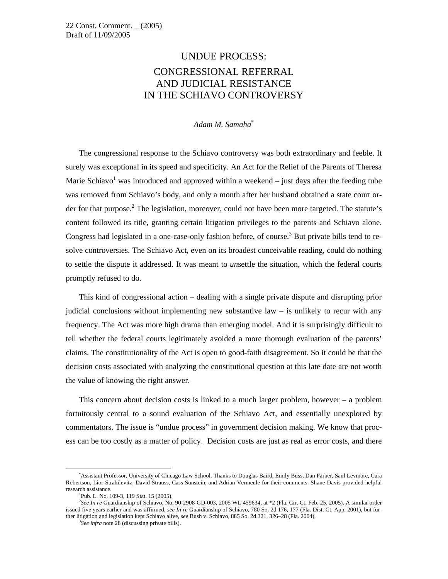## UNDUE PROCESS: CONGRESSIONAL REFERRAL AND JUDICIAL RESISTANCE IN THE SCHIAVO CONTROVERSY

#### *Adam M. Samaha*\*

 The congressional response to the Schiavo controversy was both extraordinary and feeble. It surely was exceptional in its speed and specificity. An Act for the Relief of the Parents of Theresa Marie Schiavo<sup>1</sup> was introduced and approved within a weekend  $-$  just days after the feeding tube was removed from Schiavo's body, and only a month after her husband obtained a state court order for that purpose.<sup>2</sup> The legislation, moreover, could not have been more targeted. The statute's content followed its title, granting certain litigation privileges to the parents and Schiavo alone. Congress had legislated in a one-case-only fashion before, of course.<sup>3</sup> But private bills tend to resolve controversies. The Schiavo Act, even on its broadest conceivable reading, could do nothing to settle the dispute it addressed. It was meant to *un*settle the situation, which the federal courts promptly refused to do.

 This kind of congressional action – dealing with a single private dispute and disrupting prior judicial conclusions without implementing new substantive law – is unlikely to recur with any frequency. The Act was more high drama than emerging model. And it is surprisingly difficult to tell whether the federal courts legitimately avoided a more thorough evaluation of the parents' claims. The constitutionality of the Act is open to good-faith disagreement. So it could be that the decision costs associated with analyzing the constitutional question at this late date are not worth the value of knowing the right answer.

 This concern about decision costs is linked to a much larger problem, however – a problem fortuitously central to a sound evaluation of the Schiavo Act, and essentially unexplored by commentators. The issue is "undue process" in government decision making. We know that process can be too costly as a matter of policy. Decision costs are just as real as error costs, and there

 <sup>\*</sup> Assistant Professor, University of Chicago Law School. Thanks to Douglas Baird, Emily Buss, Dan Farber, Saul Levmore, Cara Robertson, Lior Strahilevitz, David Strauss, Cass Sunstein, and Adrian Vermeule for their comments. Shane Davis provided helpful research assistance.

<sup>&</sup>lt;sup>1</sup>Pub. L. No. 109-3, 119 Stat. 15 (2005).

<sup>&</sup>lt;sup>2</sup>See In re Guardianship of Schiavo, No. 90-2908-GD-003, 2005 WL 459634, at \*2 (Fla. Cir. Ct. Feb. 25, 2005). A similar order issued five years earlier and was affirmed, *see In re* Guardianship of Schiavo, 780 So. 2d 176, 177 (Fla. Dist. Ct. App. 2001), but further litigation and legislation kept Schiavo alive, *see* Bush v. Schiavo, 885 So. 2d 321, 326-28 (Fla. 2004).

*See infra* note 28 (discussing private bills).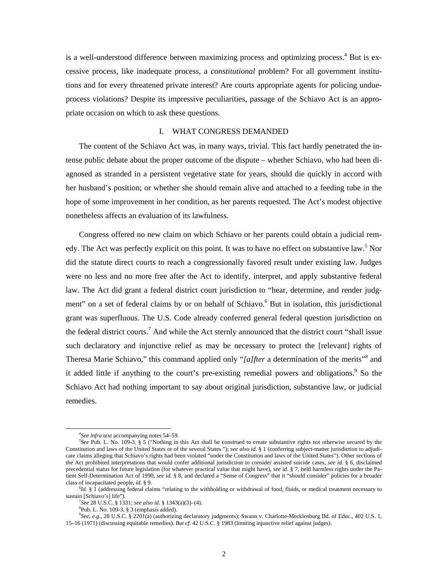is a well-understood difference between maximizing process and optimizing process.<sup>4</sup> But is excessive process, like inadequate process, a *constitutional* problem? For all government institutions and for every threatened private interest? Are courts appropriate agents for policing undueprocess violations? Despite its impressive peculiarities, passage of the Schiavo Act is an appropriate occasion on which to ask these questions.

#### I. WHAT CONGRESS DEMANDED

 The content of the Schiavo Act was, in many ways, trivial. This fact hardly penetrated the intense public debate about the proper outcome of the dispute – whether Schiavo, who had been diagnosed as stranded in a persistent vegetative state for years, should die quickly in accord with her husband's position; or whether she should remain alive and attached to a feeding tube in the hope of some improvement in her condition, as her parents requested. The Act's modest objective nonetheless affects an evaluation of its lawfulness.

 Congress offered no new claim on which Schiavo or her parents could obtain a judicial remedy. The Act was perfectly explicit on this point. It was to have no effect on substantive law.<sup>5</sup> Nor did the statute direct courts to reach a congressionally favored result under existing law. Judges were no less and no more free after the Act to identify, interpret, and apply substantive federal law. The Act did grant a federal district court jurisdiction to "hear, determine, and render judgment" on a set of federal claims by or on behalf of Schiavo.<sup>6</sup> But in isolation, this jurisdictional grant was superfluous. The U.S. Code already conferred general federal question jurisdiction on the federal district courts.<sup>7</sup> And while the Act sternly announced that the district court "shall issue such declaratory and injunctive relief as may be necessary to protect the [relevant] rights of Theresa Marie Schiavo," this command applied only "*[a]fter* a determination of the merits"<sup>8</sup> and it added little if anything to the court's pre-existing remedial powers and obligations.<sup>9</sup> So the Schiavo Act had nothing important to say about original jurisdiction, substantive law, or judicial remedies.

 $\frac{1}{4}$ <sup>4</sup>See infra text accompanying notes 54–59.

*See* Pub. L. No. 109-3, § 5 ("Nothing in this Act shall be construed to create substantive rights not otherwise secured by the Constitution and laws of the United States or of the several States."); *see also id.* § 1 (conferring subject-matter jurisdiction to adjudicate claims alleging that Schiavo's rights had been violated "under the Constitution and laws of the United States"). Other sections of the Act prohibited interpretations that would confer additional jurisdiction to consider assisted suicide cases, *see id.* § 6, disclaimed precedential status for future legislation (for whatever practical value that might have), *see id.* § 7, held harmless rights under the Patient Self-Determination Act of 1990, *see id.* § 8, and declared a "Sense of Congress" that it "should consider" policies for a broader class of incapacitated people, *id.* § 9.

*Id.* § 1 (addressing federal claims "relating to the withholding or withdrawal of food, fluids, or medical treatment necessary to sustain [Schiavo's] life").

*See* 28 U.S.C. § 1331; *see also id.* § 1343(a)(3)–(4). 8

 ${}^{8}$ Pub. L. No. 109-3, § 3 (emphasis added).

<sup>9</sup> *See, e.g.*, 28 U.S.C. § 2201(a) (authorizing declaratory judgments); Swann v. Charlotte-Mecklenburg Bd. of Educ., 402 U.S. 1, 15–16 (1971) (discussing equitable remedies). *But cf.* 42 U.S.C. § 1983 (limiting injunctive relief against judges).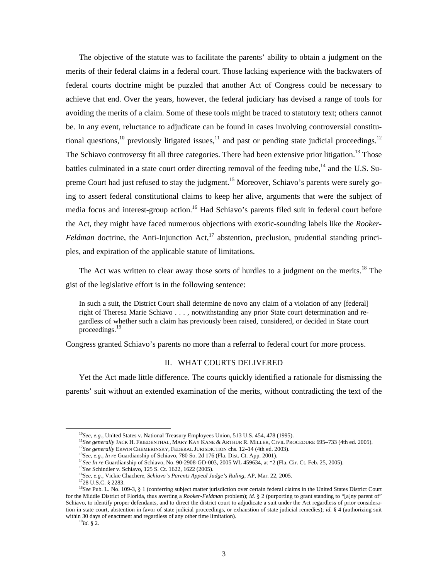The objective of the statute was to facilitate the parents' ability to obtain a judgment on the merits of their federal claims in a federal court. Those lacking experience with the backwaters of federal courts doctrine might be puzzled that another Act of Congress could be necessary to achieve that end. Over the years, however, the federal judiciary has devised a range of tools for avoiding the merits of a claim. Some of these tools might be traced to statutory text; others cannot be. In any event, reluctance to adjudicate can be found in cases involving controversial constitutional questions,<sup>10</sup> previously litigated issues,<sup>11</sup> and past or pending state judicial proceedings.<sup>12</sup> The Schiavo controversy fit all three categories. There had been extensive prior litigation.<sup>13</sup> Those battles culminated in a state court order directing removal of the feeding tube,<sup>14</sup> and the U.S. Supreme Court had just refused to stay the judgment.<sup>15</sup> Moreover, Schiavo's parents were surely going to assert federal constitutional claims to keep her alive, arguments that were the subject of media focus and interest-group action.<sup>16</sup> Had Schiavo's parents filed suit in federal court before the Act, they might have faced numerous objections with exotic-sounding labels like the *Rooker-Feldman* doctrine, the Anti-Injunction Act,<sup>17</sup> abstention, preclusion, prudential standing principles, and expiration of the applicable statute of limitations.

The Act was written to clear away those sorts of hurdles to a judgment on the merits.<sup>18</sup> The gist of the legislative effort is in the following sentence:

In such a suit, the District Court shall determine de novo any claim of a violation of any [federal] right of Theresa Marie Schiavo . . . , notwithstanding any prior State court determination and regardless of whether such a claim has previously been raised, considered, or decided in State court proceedings.19

Congress granted Schiavo's parents no more than a referral to federal court for more process.

#### II. WHAT COURTS DELIVERED

Yet the Act made little difference. The courts quickly identified a rationale for dismissing the parents' suit without an extended examination of the merits, without contradicting the text of the

<sup>&</sup>lt;sup>10</sup>See, e.g., United States v. National Treasury Employees Union, 513 U.S. 454, 478 (1995).<br><sup>11</sup>See generally JACK H. FRIEDENTHAL, MARY KAY KANE & ARTHUR R. MILLER, CIVIL PROCEDURE 695–733 (4th ed. 2005).<br><sup>12</sup>See general

<sup>&</sup>lt;sup>18</sup>See Pub. L. No. 109-3, § 1 (conferring subject matter jurisdiction over certain federal claims in the United States District Court for the Middle District of Florida, thus averting a *Rooker-Feldman* problem); *id.* § 2 (purporting to grant standing to "[a]ny parent of" Schiavo, to identify proper defendants, and to direct the district court to adjudicate a suit under the Act regardless of prior consideration in state court, abstention in favor of state judicial proceedings, or exhaustion of state judicial remedies); *id.* § 4 (authorizing suit within 30 days of enactment and regardless of any other time limitation). 19*Id.* § 2.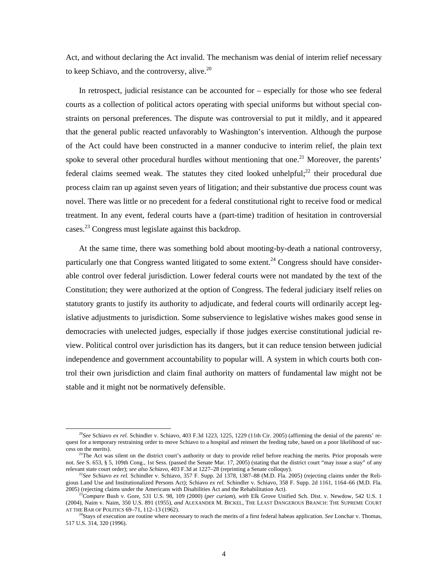Act, and without declaring the Act invalid. The mechanism was denial of interim relief necessary to keep Schiavo, and the controversy, alive. $^{20}$ 

In retrospect, judicial resistance can be accounted for – especially for those who see federal courts as a collection of political actors operating with special uniforms but without special constraints on personal preferences. The dispute was controversial to put it mildly, and it appeared that the general public reacted unfavorably to Washington's intervention. Although the purpose of the Act could have been constructed in a manner conducive to interim relief, the plain text spoke to several other procedural hurdles without mentioning that one.<sup>21</sup> Moreover, the parents' federal claims seemed weak. The statutes they cited looked unhelpful;<sup>22</sup> their procedural due process claim ran up against seven years of litigation; and their substantive due process count was novel. There was little or no precedent for a federal constitutional right to receive food or medical treatment. In any event, federal courts have a (part-time) tradition of hesitation in controversial cases.<sup>23</sup> Congress must legislate against this backdrop.

At the same time, there was something bold about mooting-by-death a national controversy, particularly one that Congress wanted litigated to some extent.<sup>24</sup> Congress should have considerable control over federal jurisdiction. Lower federal courts were not mandated by the text of the Constitution; they were authorized at the option of Congress. The federal judiciary itself relies on statutory grants to justify its authority to adjudicate, and federal courts will ordinarily accept legislative adjustments to jurisdiction. Some subservience to legislative wishes makes good sense in democracies with unelected judges, especially if those judges exercise constitutional judicial review. Political control over jurisdiction has its dangers, but it can reduce tension between judicial independence and government accountability to popular will. A system in which courts both control their own jurisdiction and claim final authority on matters of fundamental law might not be stable and it might not be normatively defensible.

 <sup>20</sup>*See* Schiavo *ex rel.* Schindler v. Schiavo, 403 F.3d 1223, 1225, 1229 (11th Cir. 2005) (affirming the denial of the parents' request for a temporary restraining order to move Schiavo to a hospital and reinsert the feeding tube, based on a poor likelihood of suc-<br>cess on the merits).

 $^{21}$ The Act was silent on the district court's authority or duty to provide relief before reaching the merits. Prior proposals were not. *See* S. 653, § 5, 109th Cong., 1st Sess. (passed the Senate Mar. 17, 2005) (stating that the district court "may issue a stay" of any relevant state court order); *see also Schiavo*, 403 F.3d at 1227–28 (reprinting a

<sup>&</sup>lt;sup>22</sup>See Schiavo ex rel. Schindler v. Schiavo, 357 F. Supp. 2d 1378, 1387–88 (M.D. Fla. 2005) (rejecting claims under the Religious Land Use and Institutionalized Persons Act); Schiavo *ex rel.* Schindler v. Schiavo, 358 F. Supp. 2d 1161, 1164–66 (M.D. Fla. 2005) (rejecting claims under the Americans with Disabilities Act and the Rehabilitation A

 $^{23}$ Compare Bush v. Gore, 531 U.S. 98, 109 (2000) (per curiam), with Elk Grove Unified Sch. Dist. v. Newdow, 542 U.S. 1 (2004), Naim v. Naim, 350 U.S. 891 (1955), *and* ALEXANDER M. BICKEL, THE LEAST DANGEROUS BRANCH: THE SUPREME COURT

<sup>&</sup>lt;sup>24</sup>Stays of execution are routine where necessary to reach the merits of a first federal habeas application. *See* Lonchar v. Thomas, 517 U.S. 314, 320 (1996).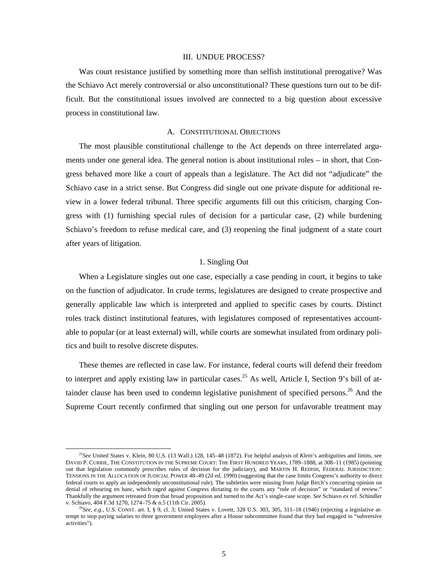#### III. UNDUE PROCESS?

 Was court resistance justified by something more than selfish institutional prerogative? Was the Schiavo Act merely controversial or also unconstitutional? These questions turn out to be difficult. But the constitutional issues involved are connected to a big question about excessive process in constitutional law.

#### A. CONSTITUTIONAL OBJECTIONS

 The most plausible constitutional challenge to the Act depends on three interrelated arguments under one general idea. The general notion is about institutional roles – in short, that Congress behaved more like a court of appeals than a legislature. The Act did not "adjudicate" the Schiavo case in a strict sense. But Congress did single out one private dispute for additional review in a lower federal tribunal. Three specific arguments fill out this criticism, charging Congress with (1) furnishing special rules of decision for a particular case, (2) while burdening Schiavo's freedom to refuse medical care, and (3) reopening the final judgment of a state court after years of litigation.

#### 1. Singling Out

 When a Legislature singles out one case, especially a case pending in court, it begins to take on the function of adjudicator. In crude terms, legislatures are designed to create prospective and generally applicable law which is interpreted and applied to specific cases by courts. Distinct roles track distinct institutional features, with legislatures composed of representatives accountable to popular (or at least external) will, while courts are somewhat insulated from ordinary politics and built to resolve discrete disputes.

 These themes are reflected in case law. For instance, federal courts will defend their freedom to interpret and apply existing law in particular cases.<sup>25</sup> As well, Article I, Section 9's bill of attainder clause has been used to condemn legislative punishment of specified persons.<sup>26</sup> And the Supreme Court recently confirmed that singling out one person for unfavorable treatment may

 <sup>25</sup>*See* United States v. Klein, 80 U.S. (13 Wall.) 128, 145–48 (1872). For helpful analysis of *Klein*'s ambiguities and limits, see DAVID P. CURRIE, THE CONSTITUTION IN THE SUPREME COURT: THE FIRST HUNDRED YEARS, 1789–1888, at 308–11 (1985) (pointing out that legislation commonly prescribes rules of decision for the judiciary), and MARTIN H. REDISH, FEDERAL JURISDICTION: TENSIONS IN THE ALLOCATION OF JUDICIAL POWER 48–49 (2d ed. 1990) (suggesting that the case limits Congress's authority to direct federal courts to apply an independently unconstitutional rule). The subtleties were missing from Judge Birch's concurring opinion on denial of rehearing en banc, which raged against Congress dictating to the courts any "rule of decision" or "standard of review." Thankfully the argument retreated from that broad proposition and turned to the Act's single-case scope. *See* Schiavo *ex rel.* Schindler

 ${}^{6}$ See, e.g., U.S. CONST. art. I, § 9, cl. 3; United States v. Lovett, 328 U.S. 303, 305, 311–18 (1946) (rejecting a legislative attempt to stop paying salaries to three government employees after a House subcommittee found that they had engaged in "subversive activities").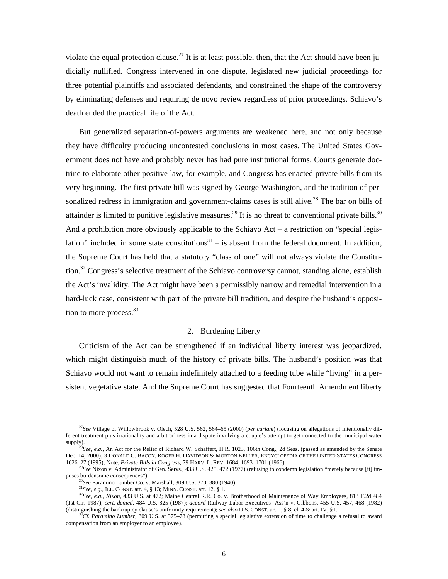violate the equal protection clause.<sup>27</sup> It is at least possible, then, that the Act should have been judicially nullified. Congress intervened in one dispute, legislated new judicial proceedings for three potential plaintiffs and associated defendants, and constrained the shape of the controversy by eliminating defenses and requiring de novo review regardless of prior proceedings. Schiavo's death ended the practical life of the Act.

 But generalized separation-of-powers arguments are weakened here, and not only because they have difficulty producing uncontested conclusions in most cases. The United States Government does not have and probably never has had pure institutional forms. Courts generate doctrine to elaborate other positive law, for example, and Congress has enacted private bills from its very beginning. The first private bill was signed by George Washington, and the tradition of personalized redress in immigration and government-claims cases is still alive.<sup>28</sup> The bar on bills of attainder is limited to punitive legislative measures.<sup>29</sup> It is no threat to conventional private bills.<sup>30</sup> And a prohibition more obviously applicable to the Schiavo Act – a restriction on "special legislation" included in some state constitutions $31 -$  is absent from the federal document. In addition, the Supreme Court has held that a statutory "class of one" will not always violate the Constitution.<sup>32</sup> Congress's selective treatment of the Schiavo controversy cannot, standing alone, establish the Act's invalidity. The Act might have been a permissibly narrow and remedial intervention in a hard-luck case, consistent with part of the private bill tradition, and despite the husband's opposition to more process. $33$ 

#### 2. Burdening Liberty

 Criticism of the Act can be strengthened if an individual liberty interest was jeopardized, which might distinguish much of the history of private bills. The husband's position was that Schiavo would not want to remain indefinitely attached to a feeding tube while "living" in a persistent vegetative state. And the Supreme Court has suggested that Fourteenth Amendment liberty

 <sup>27</sup>*See* Village of Willowbrook v. Olech, 528 U.S. 562, 564–65 (2000) (*per curiam*) (focusing on allegations of intentionally different treatment plus irrationality and arbitrariness in a dispute involving a couple's attempt to get connected to the municipal water supply).<br><sup>28</sup>*See, e.g.*, An Act for the Relief of Richard W. Schaffert, H.R. 1023, 106th Cong., 2d Sess. (passed as amended by the Senate

Dec. 14, 2000); 3 DONALD C. BACON, ROGER H. DAVIDSON & MORTON KELLER, ENCYCLOPEDIA OF THE UNITED STATES CONGRESS 1626-27 (1995); Note, *Private Bills in Congress*, 79 HARV. L. REV. 1684, 1693-1701 (1966).

<sup>&</sup>lt;sup>29</sup>See Nixon v. Administrator of Gen. Servs., 433 U.S. 425, 472 (1977) (refusing to condemn legislation "merely because [it] imposes burdensome consequences").<br><sup>30</sup>See Paramino Lumber Co. v. Marshall, 309 U.S. 370, 380 (1940).<br><sup>31</sup>See, e.g., ILL. CONST. art. 4, § 13; MINN. CONST. art. 12, § 1.<br><sup>32</sup>See, e.g., *Nixon*, 433 U.S. at 472; Maine Central

<sup>(1</sup>st Cir. 1987), *cert. denied*, 484 U.S. 825 (1987); *accord* Railway Labor Executives' Ass'n v. Gibbons, 455 U.S. 457, 468 (1982) (distinguishing the bankruptcy clause's uniformity requirement); see also U.S. CONST. art. I, § 8, cl. 4 & art. IV, §1.<br><sup>33</sup>Cf. Paramino Lumber, 309 U.S. at 375–78 (permitting a special legislative extension of time to ch

compensation from an employer to an employee).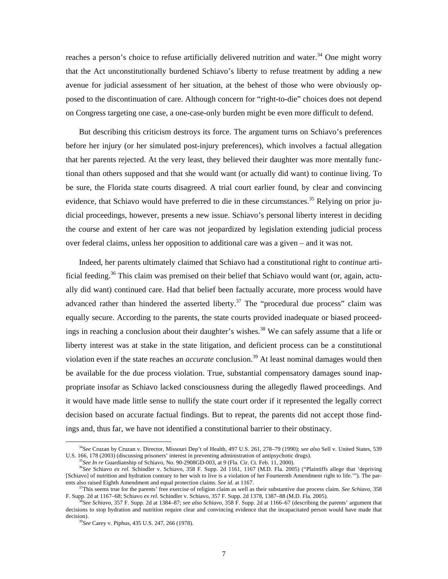reaches a person's choice to refuse artificially delivered nutrition and water.<sup>34</sup> One might worry that the Act unconstitutionally burdened Schiavo's liberty to refuse treatment by adding a new avenue for judicial assessment of her situation, at the behest of those who were obviously opposed to the discontinuation of care. Although concern for "right-to-die" choices does not depend on Congress targeting one case, a one-case-only burden might be even more difficult to defend.

 But describing this criticism destroys its force. The argument turns on Schiavo's preferences before her injury (or her simulated post-injury preferences), which involves a factual allegation that her parents rejected. At the very least, they believed their daughter was more mentally functional than others supposed and that she would want (or actually did want) to continue living. To be sure, the Florida state courts disagreed. A trial court earlier found, by clear and convincing evidence, that Schiavo would have preferred to die in these circumstances.<sup>35</sup> Relying on prior judicial proceedings, however, presents a new issue. Schiavo's personal liberty interest in deciding the course and extent of her care was not jeopardized by legislation extending judicial process over federal claims, unless her opposition to additional care was a given – and it was not.

 Indeed, her parents ultimately claimed that Schiavo had a constitutional right to *continue* artificial feeding.<sup>36</sup> This claim was premised on their belief that Schiavo would want (or, again, actually did want) continued care. Had that belief been factually accurate, more process would have advanced rather than hindered the asserted liberty.<sup>37</sup> The "procedural due process" claim was equally secure. According to the parents, the state courts provided inadequate or biased proceedings in reaching a conclusion about their daughter's wishes.<sup>38</sup> We can safely assume that a life or liberty interest was at stake in the state litigation, and deficient process can be a constitutional violation even if the state reaches an *accurate* conclusion.<sup>39</sup> At least nominal damages would then be available for the due process violation. True, substantial compensatory damages sound inappropriate insofar as Schiavo lacked consciousness during the allegedly flawed proceedings. And it would have made little sense to nullify the state court order if it represented the legally correct decision based on accurate factual findings. But to repeat, the parents did not accept those findings and, thus far, we have not identified a constitutional barrier to their obstinacy.

<sup>&</sup>lt;sup>34</sup>See Cruzan by Cruzan v. Director, Missouri Dep't of Health, 497 U.S. 261, 278–79 (1990); *see also* Sell v. United States, 539 U.S. 166, 178 (2003) (discussing prisoners' interest in preventing administration of antips

<sup>&</sup>lt;sup>35</sup>See In re Guardianship of Schiavo, No. 90-2908GD-003, at 9 (Fla. Cir. Ct. Feb. 11, 2000).<br><sup>36</sup>See Schiavo ex rel. Schindler v. Schiavo, 358 F. Supp. 2d 1161, 1167 (M.D. Fla. 2005) ("Plaintiffs allege that 'depriving [Schiavo] of nutrition and hydration contrary to her wish to live is a violation of her Fourteenth Amendment right to life.""). The par-<br>ents also raised Eighth Amendment and equal protection claims. See id. at 1167.

<sup>&</sup>lt;sup>37</sup>This seems true for the parents' free exercise of religion claim as well as their substantive due process claim. See Schiavo, 358 F. Supp. 2d at 1167–68; Schiavo ex rel. Schiadler v. Schiavo, 357 F. Supp. 2d 1378, 138

<sup>&</sup>lt;sup>8</sup>See Schiavo, 357 F. Supp. 2d at 1384–87; see also Schiavo, 358 F. Supp. 2d at 1166–67 (describing the parents' argument that decisions to stop hydration and nutrition require clear and convincing evidence that the incapacitated person would have made that decision).

<sup>&</sup>lt;sup>39</sup>See Carey v. Piphus, 435 U.S. 247, 266 (1978).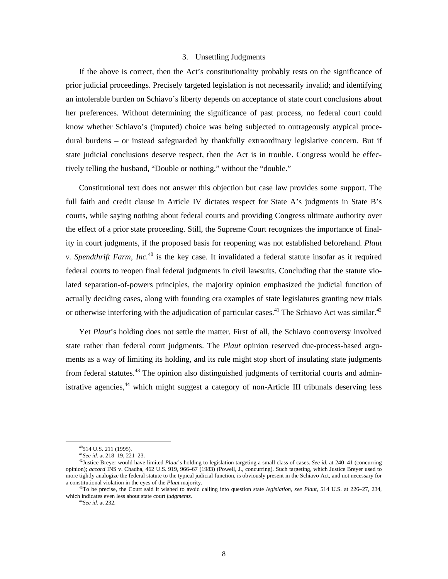#### 3. Unsettling Judgments

 If the above is correct, then the Act's constitutionality probably rests on the significance of prior judicial proceedings. Precisely targeted legislation is not necessarily invalid; and identifying an intolerable burden on Schiavo's liberty depends on acceptance of state court conclusions about her preferences. Without determining the significance of past process, no federal court could know whether Schiavo's (imputed) choice was being subjected to outrageously atypical procedural burdens – or instead safeguarded by thankfully extraordinary legislative concern. But if state judicial conclusions deserve respect, then the Act is in trouble. Congress would be effectively telling the husband, "Double or nothing," without the "double."

 Constitutional text does not answer this objection but case law provides some support. The full faith and credit clause in Article IV dictates respect for State A's judgments in State B's courts, while saying nothing about federal courts and providing Congress ultimate authority over the effect of a prior state proceeding. Still, the Supreme Court recognizes the importance of finality in court judgments, if the proposed basis for reopening was not established beforehand. *Plaut v. Spendthrift Farm, Inc.*40 is the key case. It invalidated a federal statute insofar as it required federal courts to reopen final federal judgments in civil lawsuits. Concluding that the statute violated separation-of-powers principles, the majority opinion emphasized the judicial function of actually deciding cases, along with founding era examples of state legislatures granting new trials or otherwise interfering with the adjudication of particular cases.<sup>41</sup> The Schiavo Act was similar.<sup>42</sup>

 Yet *Plaut*'s holding does not settle the matter. First of all, the Schiavo controversy involved state rather than federal court judgments. The *Plaut* opinion reserved due-process-based arguments as a way of limiting its holding, and its rule might stop short of insulating state judgments from federal statutes.<sup>43</sup> The opinion also distinguished judgments of territorial courts and administrative agencies,<sup>44</sup> which might suggest a category of non-Article III tribunals deserving less

 $^{40}$ 514 U.S. 211 (1995).<br> $^{41}$ *See id.* at 218–19, 221–23.

<sup>41</sup>*See id.* at 218–19, 221–23. 42Justice Breyer would have limited *Plaut*'s holding to legislation targeting a small class of cases. *See id.* at 240–41 (concurring opinion); *accord* INS v. Chadha, 462 U.S. 919, 966–67 (1983) (Powell, J., concurring). Such targeting, which Justice Breyer used to more tightly analogize the federal statute to the typical judicial function, is obviously present in the Schiavo Act, and not necessary for a constitutional violation in the eyes of the Plaut majority.

<sup>&</sup>lt;sup>43</sup>To be precise, the Court said it wished to avoid calling into question state *legislation*, *see Plaut*, 514 U.S. at 226–27, 234, which indicates even less about state court *judgments*. 44*See id.* at 232.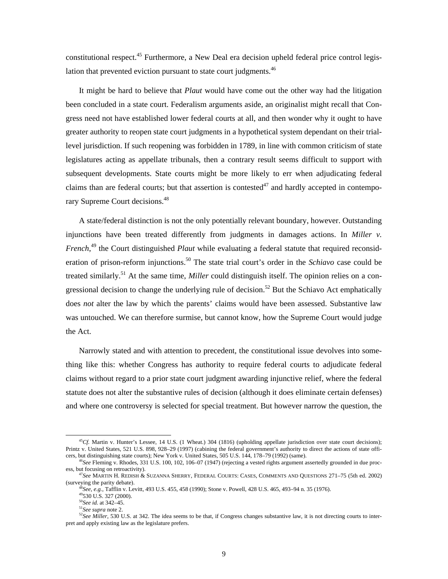constitutional respect.<sup>45</sup> Furthermore, a New Deal era decision upheld federal price control legislation that prevented eviction pursuant to state court judgments.  $46$ 

 It might be hard to believe that *Plaut* would have come out the other way had the litigation been concluded in a state court. Federalism arguments aside, an originalist might recall that Congress need not have established lower federal courts at all, and then wonder why it ought to have greater authority to reopen state court judgments in a hypothetical system dependant on their triallevel jurisdiction. If such reopening was forbidden in 1789, in line with common criticism of state legislatures acting as appellate tribunals, then a contrary result seems difficult to support with subsequent developments. State courts might be more likely to err when adjudicating federal claims than are federal courts; but that assertion is contested<sup>47</sup> and hardly accepted in contemporary Supreme Court decisions.<sup>48</sup>

 A state/federal distinction is not the only potentially relevant boundary, however. Outstanding injunctions have been treated differently from judgments in damages actions. In *Miller v. French*, 49 the Court distinguished *Plaut* while evaluating a federal statute that required reconsideration of prison-reform injunctions.<sup>50</sup> The state trial court's order in the *Schiavo* case could be treated similarly.51 At the same time, *Miller* could distinguish itself. The opinion relies on a congressional decision to change the underlying rule of decision.<sup>52</sup> But the Schiavo Act emphatically does *not* alter the law by which the parents' claims would have been assessed. Substantive law was untouched. We can therefore surmise, but cannot know, how the Supreme Court would judge the Act.

Narrowly stated and with attention to precedent, the constitutional issue devolves into something like this: whether Congress has authority to require federal courts to adjudicate federal claims without regard to a prior state court judgment awarding injunctive relief, where the federal statute does not alter the substantive rules of decision (although it does eliminate certain defenses) and where one controversy is selected for special treatment. But however narrow the question, the

<sup>&</sup>lt;sup>45</sup>*Cf.* Martin v. Hunter's Lessee, 14 U.S. (1 Wheat.) 304 (1816) (upholding appellate jurisdiction over state court decisions); Printz v. United States, 521 U.S. 898, 928–29 (1997) (cabining the federal government's authority to direct the actions of state officers, but distinguishing state courts); New York v. United States, 505 U.S. 144, 178–79 (

 $^{46}$ See Fleming v. Rhodes, 331 U.S. 100, 102, 106–07 (1947) (rejecting a vested rights argument assertedly grounded in due process, but focusing on retroactivity).

<sup>&</sup>lt;sup>47</sup>See MARTIN H. REDISH & SUZANNA SHERRY, FEDERAL COURTS: CASES, COMMENTS AND QUESTIONS 271-75 (5th ed. 2002) (surveying the parity debate).<br>
<sup>48</sup>*See, e.g.*, Tafflin v. Levitt, 493 U.S. 455, 458 (1990); Stone v. Powell, 428 U.S. 465, 493–94 n. 35 (1976).<br>
<sup>49</sup>530 U.S. 327 (2000).<br>
<sup>50</sup>*See id.* at 342–45.

<sup>&</sup>lt;sup>51</sup>See supra note 2.<br><sup>52</sup>See *See Supra* note 2.<br><sup>52</sup>See Miller, 530 U.S. at 342. The idea seems to be that, if Congress changes substantive law, it is not directing courts to interpret and apply existing law as the legislature prefers.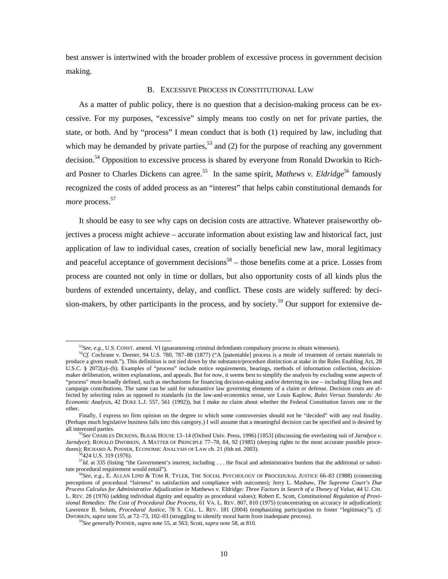best answer is intertwined with the broader problem of excessive process in government decision making.

#### B. EXCESSIVE PROCESS IN CONSTITUTIONAL LAW

 As a matter of public policy, there is no question that a decision-making process can be excessive. For my purposes, "excessive" simply means too costly on net for private parties, the state, or both. And by "process" I mean conduct that is both (1) required by law, including that which may be demanded by private parties,  $53$  and (2) for the purpose of reaching any government decision.<sup>54</sup> Opposition to excessive process is shared by everyone from Ronald Dworkin to Richard Posner to Charles Dickens can agree.<sup>55</sup> In the same spirit, *Mathews v. Eldridge*<sup>56</sup> famously recognized the costs of added process as an "interest" that helps cabin constitutional demands for *more* process.<sup>57</sup>

 It should be easy to see why caps on decision costs are attractive. Whatever praiseworthy objectives a process might achieve – accurate information about existing law and historical fact, just application of law to individual cases, creation of socially beneficial new law, moral legitimacy and peaceful acceptance of government decisions<sup>58</sup> – those benefits come at a price. Losses from process are counted not only in time or dollars, but also opportunity costs of all kinds plus the burdens of extended uncertainty, delay, and conflict. These costs are widely suffered: by decision-makers, by other participants in the process, and by society.<sup>59</sup> Our support for extensive de-

 <sup>53</sup>*See, e.g.*, U.S. CONST. amend. VI (guaranteeing criminal defendants compulsory process to obtain witnesses).

<sup>&</sup>lt;sup>54</sup>Cf. Cochrane v. Deener, 94 U.S. 780, 787–88 (1877) ("A [patentable] process is a mode of treatment of certain materials to produce a given result."). This definition is not tied down by the substance/procedure distinction at stake in the Rules Enabling Act, 28 U.S.C. § 2072(a)–(b). Examples of "process" include notice requirements, hearings, methods of information collection, decisionmaker deliberation, written explanations, and appeals. But for now, it seems best to simplify the analysis by excluding some aspects of "process" most-broadly defined, such as mechanisms for financing decision-making and/or deterring its use – including filing fees and campaign contributions. The same can be said for substantive law governing elements of a claim or defense. Decision costs are affected by selecting rules as opposed to standards (in the law-and-economics sense, *see* Louis Kaplow, *Rules Versus Standards: An Economic Analysis*, 42 DUKE L.J. 557, 561 (1992)), but I make no claim about whether the Federal Constitution favors one or the other.

Finally, I express no firm opinion on the degree to which some controversies should not be "decided" with any real finality. (Perhaps much legislative business falls into this category.) I will assume that a meaningful decision can be specified and is desired by all interested parties. 55*See* CHARLES DICKENS, BLEAK HOUSE 13–14 (Oxford Univ. Press, 1996) [1853] (discussing the everlasting suit of *Jarndyce v.* 

*Jarndyce*); RONALD DWORKIN, A MATTER OF PRINCIPLE 77–78, 84, 92 (1985) (denying rights to the most accurate possible procedures); RICHARD A. POSNER, ECONOMIC ANALYSIS OF LAW ch. 21 (6th ed. 2003). <sup>56</sup>424 U.S. 319 (1976).

<sup>&</sup>lt;sup>57</sup>*Id.* at 335 (listing "the Government's interest, including . . . the fiscal and administrative burdens that the additional or substitute procedural requirement would entail").

<sup>58</sup>*See, e.g.*, E. ALLAN LIND & TOM R. TYLER, THE SOCIAL PSYCHOLOGY OF PROCEDURAL JUSTICE 66–83 (1988) (connecting perceptions of procedural "fairness" to satisfaction and compliance with outcomes); Jerry L. Mashaw, *The Supreme Court's Due Process Calculus for Administrative Adjudication in* Matthews v. Eldridge*: Three Factors in Search of a Theory of Value*, 44 U. CHI. L. REV. 28 (1976) (adding individual dignity and equality as procedural values); Robert E. Scott, *Constitutional Regulation of Provisional Remedies: The Cost of Procedural Due Process*, 61 VA. L. REV. 807, 810 (1975) (concentrating on accuracy in adjudication); Lawrence B. Solum, *Procedural Justice*, 78 S. CAL. L. REV. 181 (2004) (emphasizing participation to foster "legitimacy"); *cf.* DWORKIN, *supra* note 55, at 72–73, 102–03 (struggling to identify moral harm from inadequate process). 59*See generally* POSNER, *supra* note 55, at 563; Scott, *supra* note 58, at 810.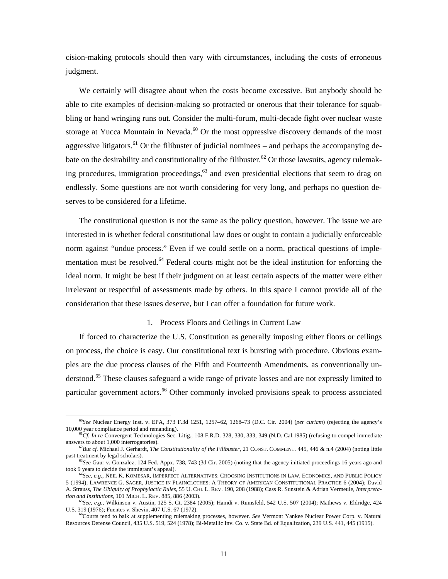cision-making protocols should then vary with circumstances, including the costs of erroneous judgment.

 We certainly will disagree about when the costs become excessive. But anybody should be able to cite examples of decision-making so protracted or onerous that their tolerance for squabbling or hand wringing runs out. Consider the multi-forum, multi-decade fight over nuclear waste storage at Yucca Mountain in Nevada.<sup>60</sup> Or the most oppressive discovery demands of the most aggressive litigators.<sup>61</sup> Or the filibuster of judicial nominees – and perhaps the accompanying debate on the desirability and constitutionality of the filibuster.<sup>62</sup> Or those lawsuits, agency rulemaking procedures, immigration proceedings,  $63$  and even presidential elections that seem to drag on endlessly. Some questions are not worth considering for very long, and perhaps no question deserves to be considered for a lifetime.

 The constitutional question is not the same as the policy question, however. The issue we are interested in is whether federal constitutional law does or ought to contain a judicially enforceable norm against "undue process." Even if we could settle on a norm, practical questions of implementation must be resolved.<sup>64</sup> Federal courts might not be the ideal institution for enforcing the ideal norm. It might be best if their judgment on at least certain aspects of the matter were either irrelevant or respectful of assessments made by others. In this space I cannot provide all of the consideration that these issues deserve, but I can offer a foundation for future work.

#### 1. Process Floors and Ceilings in Current Law

 If forced to characterize the U.S. Constitution as generally imposing either floors or ceilings on process, the choice is easy. Our constitutional text is bursting with procedure. Obvious examples are the due process clauses of the Fifth and Fourteenth Amendments, as conventionally understood.<sup>65</sup> These clauses safeguard a wide range of private losses and are not expressly limited to particular government actors.<sup>66</sup> Other commonly invoked provisions speak to process associated

 <sup>60</sup>*See* Nuclear Energy Inst. v. EPA, 373 F.3d 1251, 1257–62, 1268–73 (D.C. Cir. 2004) (*per curiam*) (rejecting the agency's

<sup>&</sup>lt;sup>61</sup>Cf. *In re* Convergent Technologies Sec. Litig., 108 F.R.D. 328, 330, 333, 349 (N.D. Cal.1985) (refusing to compel immediate answers to about 1,000 interrogatories).

<sup>&</sup>lt;sup>62</sup>*But cf.* Michael J. Gerhardt, *The Constitutionality of the Filibuster*, 21 CONST. COMMENT. 445, 446 & n.4 (2004) (noting little past treatment by legal scholars).

<sup>&</sup>lt;sup>63</sup>See Gaur v. Gonzalez, 124 Fed. Appx. 738, 743 (3d Cir. 2005) (noting that the agency initiated proceedings 16 years ago and took 9 years to decide the immigrant's appeal).

<sup>&</sup>lt;sup>64</sup>See, e.g., NEIL K. KOMESAR, IMPERFECT ALTERNATIVES: CHOOSING INSTITUTIONS IN LAW, ECONOMICS, AND PUBLIC POLICY 5 (1994); LAWRENCE G. SAGER, JUSTICE IN PLAINCLOTHES: A THEORY OF AMERICAN CONSTITUTIONAL PRACTICE 6 (2004); David A. Strauss, *The Ubiquity of Prophylactic Rules*, 55 U. CHI. L. REV. 190, 208 (1988); Cass R. Sunstein & Adrian Vermeule, *Interpreta-*

<sup>&</sup>lt;sup>65</sup>See, e.g., Wilkinson v. Austin, 125 S. Ct. 2384 (2005); Hamdi v. Rumsfeld, 542 U.S. 507 (2004); Mathews v. Eldridge, 424 U.S. 319 (1976); Fuentes v. Shevin, 407 U.S. 67 (1972).

<sup>&</sup>lt;sup>66</sup>Courts tend to balk at supplementing rulemaking processes, however. *See* Vermont Yankee Nuclear Power Corp. v. Natural Resources Defense Council, 435 U.S. 519, 524 (1978); Bi-Metallic Inv. Co. v. State Bd. of Equalization, 239 U.S. 441, 445 (1915).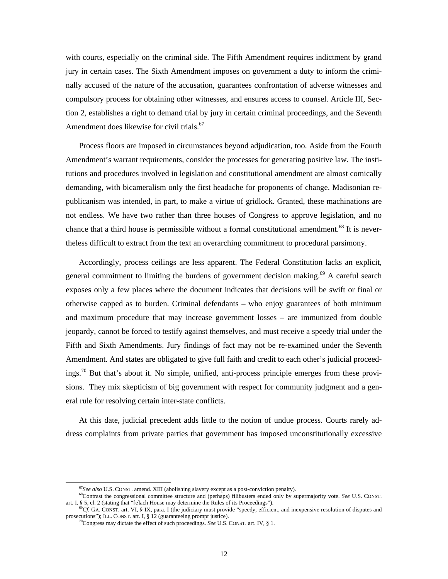with courts, especially on the criminal side. The Fifth Amendment requires indictment by grand jury in certain cases. The Sixth Amendment imposes on government a duty to inform the criminally accused of the nature of the accusation, guarantees confrontation of adverse witnesses and compulsory process for obtaining other witnesses, and ensures access to counsel. Article III, Section 2, establishes a right to demand trial by jury in certain criminal proceedings, and the Seventh Amendment does likewise for civil trials.<sup>67</sup>

 Process floors are imposed in circumstances beyond adjudication, too. Aside from the Fourth Amendment's warrant requirements, consider the processes for generating positive law. The institutions and procedures involved in legislation and constitutional amendment are almost comically demanding, with bicameralism only the first headache for proponents of change. Madisonian republicanism was intended, in part, to make a virtue of gridlock. Granted, these machinations are not endless. We have two rather than three houses of Congress to approve legislation, and no chance that a third house is permissible without a formal constitutional amendment.<sup>68</sup> It is nevertheless difficult to extract from the text an overarching commitment to procedural parsimony.

 Accordingly, process ceilings are less apparent. The Federal Constitution lacks an explicit, general commitment to limiting the burdens of government decision making.<sup>69</sup> A careful search exposes only a few places where the document indicates that decisions will be swift or final or otherwise capped as to burden. Criminal defendants – who enjoy guarantees of both minimum and maximum procedure that may increase government losses – are immunized from double jeopardy, cannot be forced to testify against themselves, and must receive a speedy trial under the Fifth and Sixth Amendments. Jury findings of fact may not be re-examined under the Seventh Amendment. And states are obligated to give full faith and credit to each other's judicial proceedings.<sup>70</sup> But that's about it. No simple, unified, anti-process principle emerges from these provisions. They mix skepticism of big government with respect for community judgment and a general rule for resolving certain inter-state conflicts.

 At this date, judicial precedent adds little to the notion of undue process. Courts rarely address complaints from private parties that government has imposed unconstitutionally excessive

<sup>&</sup>lt;sup>67</sup>See also U.S. CONST. amend. XIII (abolishing slavery except as a post-conviction penalty).<br><sup>68</sup>Contrast the congressional committee structure and (perhaps) filibusters ended only by supermajority vote. *See* U.S. CONS

<sup>&</sup>lt;sup>69</sup>Cf. GA. CONST. art. VI, § IX, para. I (the judiciary must provide "speedy, efficient, and inexpensive resolution of disputes and prosecutions"); ILL. CONST. art. I, § 12 (guaranteeing prompt justice).

 $^{70}$ Congress may dictate the effect of such proceedings. *See* U.S. CONST. art. IV, § 1.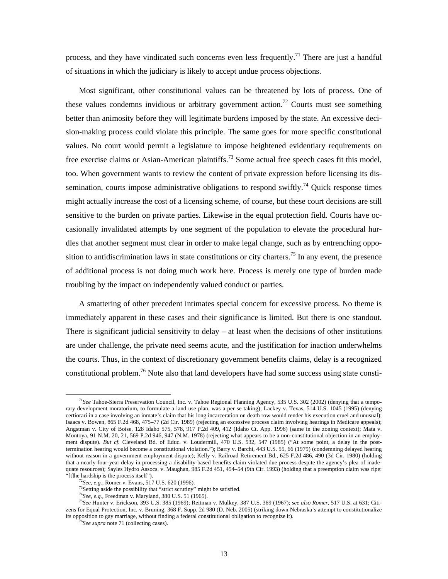process, and they have vindicated such concerns even less frequently.<sup>71</sup> There are just a handful of situations in which the judiciary is likely to accept undue process objections.

 Most significant, other constitutional values can be threatened by lots of process. One of these values condemns invidious or arbitrary government action.<sup>72</sup> Courts must see something better than animosity before they will legitimate burdens imposed by the state. An excessive decision-making process could violate this principle. The same goes for more specific constitutional values. No court would permit a legislature to impose heightened evidentiary requirements on free exercise claims or Asian-American plaintiffs.<sup>73</sup> Some actual free speech cases fit this model, too. When government wants to review the content of private expression before licensing its dissemination, courts impose administrative obligations to respond swiftly.<sup>74</sup> Ouick response times might actually increase the cost of a licensing scheme, of course, but these court decisions are still sensitive to the burden on private parties. Likewise in the equal protection field. Courts have occasionally invalidated attempts by one segment of the population to elevate the procedural hurdles that another segment must clear in order to make legal change, such as by entrenching opposition to antidiscrimination laws in state constitutions or city charters.<sup>75</sup> In any event, the presence of additional process is not doing much work here. Process is merely one type of burden made troubling by the impact on independently valued conduct or parties.

 A smattering of other precedent intimates special concern for excessive process. No theme is immediately apparent in these cases and their significance is limited. But there is one standout. There is significant judicial sensitivity to delay  $-$  at least when the decisions of other institutions are under challenge, the private need seems acute, and the justification for inaction underwhelms the courts. Thus, in the context of discretionary government benefits claims, delay is a recognized constitutional problem.<sup>76</sup> Note also that land developers have had some success using state consti-

 <sup>71</sup>*See* Tahoe-Sierra Preservation Council, Inc. v. Tahoe Regional Planning Agency, 535 U.S. 302 (2002) (denying that a temporary development moratorium, to formulate a land use plan, was a per se taking); Lackey v. Texas, 514 U.S. 1045 (1995) (denying certiorari in a case involving an inmate's claim that his long incarceration on death row would render his execution cruel and unusual); Isaacs v. Bowen, 865 F.2d 468, 475–77 (2d Cir. 1989) (rejecting an excessive process claim involving hearings in Medicare appeals); Angstman v. City of Boise, 128 Idaho 575, 578, 917 P.2d 409, 412 (Idaho Ct. App. 1996) (same in the zoning context); Mata v. Montoya, 91 N.M. 20, 21, 569 P.2d 946, 947 (N.M. 1978) (rejecting what appears to be a non-constitutional objection in an employment dispute). *But cf.* Cleveland Bd. of Educ. v. Loudermill, 470 U.S. 532, 547 (1985) ("At some point, a delay in the posttermination hearing would become a constitutional violation."); Barry v. Barchi, 443 U.S. 55, 66 (1979) (condemning delayed hearing without reason in a government employment dispute); Kelly v. Railroad Retirement Bd., 625 F.2d 486, 490 (3d Cir. 1980) (holding that a nearly four-year delay in processing a disability-based benefits claim violated due process despite the agency's plea of inadequate resources); Sayles Hydro Assocs. v. Maughan, 985 F.2d 451, 454–54 (9th Cir. 1993) (holding that a preemption claim was ripe: "[t]he hardship is the process itself").<br>
<sup>72</sup>*See, e.g.*, Romer v. Evans, 517 U.S. 620 (1996).<br>
<sup>73</sup>Setting aside the possibility that "strict scrutiny" might be satisfied.<br>
<sup>74</sup>*See, e.g.*, Freedman v. Maryland, 380 U.S

zens for Equal Protection, Inc. v. Bruning, 368 F. Supp. 2d 980 (D. Neb. 2005) (striking down Nebraska's attempt to constitutionalize its opposition to gay marriage, without finding a federal constitutional obligation to recognize it). 76*See supra* note 71 (collecting cases).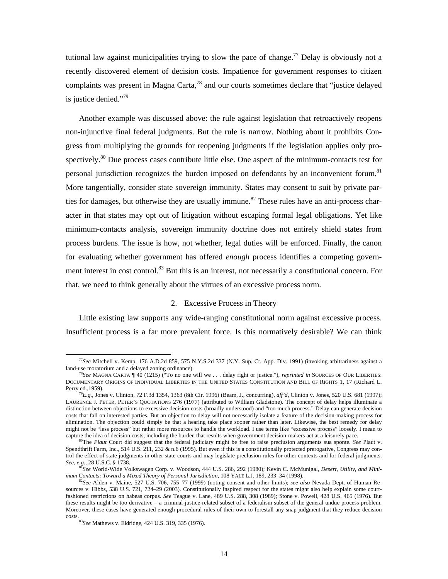tutional law against municipalities trying to slow the pace of change.<sup>77</sup> Delay is obviously not a recently discovered element of decision costs. Impatience for government responses to citizen complaints was present in Magna Carta,<sup>78</sup> and our courts sometimes declare that "justice delayed is justice denied."<sup>79</sup>

 Another example was discussed above: the rule against legislation that retroactively reopens non-injunctive final federal judgments. But the rule is narrow. Nothing about it prohibits Congress from multiplying the grounds for reopening judgments if the legislation applies only prospectively. $80$  Due process cases contribute little else. One aspect of the minimum-contacts test for personal jurisdiction recognizes the burden imposed on defendants by an inconvenient forum.<sup>81</sup> More tangentially, consider state sovereign immunity. States may consent to suit by private parties for damages, but otherwise they are usually immune.<sup>82</sup> These rules have an anti-process character in that states may opt out of litigation without escaping formal legal obligations. Yet like minimum-contacts analysis, sovereign immunity doctrine does not entirely shield states from process burdens. The issue is how, not whether, legal duties will be enforced. Finally, the canon for evaluating whether government has offered *enough* process identifies a competing government interest in cost control.<sup>83</sup> But this is an interest, not necessarily a constitutional concern. For that, we need to think generally about the virtues of an excessive process norm.

#### 2. Excessive Process in Theory

 Little existing law supports any wide-ranging constitutional norm against excessive process. Insufficient process is a far more prevalent force. Is this normatively desirable? We can think

 <sup>77</sup>*See* Mitchell v. Kemp, 176 A.D.2d 859, 575 N.Y.S.2d 337 (N.Y. Sup. Ct. App. Div. 1991) (invoking arbitrariness against a land-use moratorium and a delayed zoning ordinance).<br><sup>78</sup>*See* MAGNA CARTA ¶ 40 (1215) ("To no one will we . . . delay right or justice."), *reprinted in* SOURCES OF OUR LIBERTIES:

DOCUMENTARY ORIGINS OF INDIVIDUAL LIBERTIES IN THE UNITED STATES CONSTITUTION AND BILL OF RIGHTS 1, 17 (Richard L. Perry ed., 1959).

<sup>&</sup>lt;sup>79</sup>*E.g.*, Jones v. Clinton, 72 F.3d 1354, 1363 (8th Cir. 1996) (Beam, J., concurring), *aff'd*, Clinton v. Jones, 520 U.S. 681 (1997); LAURENCE J. PETER, PETER'S QUOTATIONS 276 (1977) (attributed to William Gladstone). The concept of delay helps illuminate a distinction between objections to excessive decision costs (broadly understood) and "too much process." Delay can generate decision costs that fall on interested parties. But an objection to delay will not necessarily isolate a feature of the decision-making process for elimination. The objection could simply be that a hearing take place sooner rather than later. Likewise, the best remedy for delay might not be "less process" but rather more resources to handle the workload. I use terms like "excessive process" loosely. I mean to capture the idea of decision costs, including the burden that results when government decision-makers act at a leisurely pace.<br><sup>80</sup>The *Plaut* Court did suggest that the federal judiciary might be free to raise preclusion

Spendthrift Farm, Inc., 514 U.S. 211, 232 & n.6 (1995). But even if this is a constitutionally protected prerogative, Congress may control the effect of state judgments in other state courts and may legislate preclusion rules for other contexts and for federal judgments.

See, e.g., 28 U.S.C. § 1738.<br><sup>81</sup>See World-Wide Volkswagen Corp. v. Woodson, 444 U.S. 286, 292 (1980); Kevin C. McMunigal, *Desert, Utility, and Mini-*<br>mum Contacts: Toward a Mixed Theory of Personal Jurisdiction, 108 YALE

 ${}^{2}See$  Alden v. Maine, 527 U.S. 706, 755–77 (1999) (noting consent and other limits); see also Nevada Dept. of Human Resources v. Hibbs, 538 U.S. 721, 724–29 (2003). Constitutionally inspired respect for the states might also help explain some courtfashioned restrictions on habeas corpus. *See* Teague v. Lane, 489 U.S. 288, 308 (1989); Stone v. Powell, 428 U.S. 465 (1976). But these results might be too derivative – a criminal-justice-related subset of a federalism subset of the general undue process problem. Moreover, these cases have generated enough procedural rules of their own to forestall any snap judgment that they reduce decision costs. 83*See* Mathews v. Eldridge, 424 U.S. 319, 335 (1976).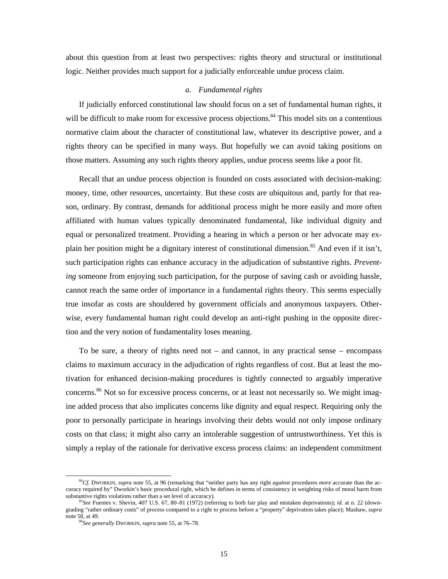about this question from at least two perspectives: rights theory and structural or institutional logic. Neither provides much support for a judicially enforceable undue process claim.

#### *a. Fundamental rights*

 If judicially enforced constitutional law should focus on a set of fundamental human rights, it will be difficult to make room for excessive process objections.<sup>84</sup> This model sits on a contentious normative claim about the character of constitutional law, whatever its descriptive power, and a rights theory can be specified in many ways. But hopefully we can avoid taking positions on those matters. Assuming any such rights theory applies, undue process seems like a poor fit.

 Recall that an undue process objection is founded on costs associated with decision-making: money, time, other resources, uncertainty. But these costs are ubiquitous and, partly for that reason, ordinary. By contrast, demands for additional process might be more easily and more often affiliated with human values typically denominated fundamental, like individual dignity and equal or personalized treatment. Providing a hearing in which a person or her advocate may explain her position might be a dignitary interest of constitutional dimension.<sup>85</sup> And even if it isn't, such participation rights can enhance accuracy in the adjudication of substantive rights. *Preventing* someone from enjoying such participation, for the purpose of saving cash or avoiding hassle, cannot reach the same order of importance in a fundamental rights theory. This seems especially true insofar as costs are shouldered by government officials and anonymous taxpayers. Otherwise, every fundamental human right could develop an anti-right pushing in the opposite direction and the very notion of fundamentality loses meaning.

 To be sure, a theory of rights need not – and cannot, in any practical sense – encompass claims to maximum accuracy in the adjudication of rights regardless of cost. But at least the motivation for enhanced decision-making procedures is tightly connected to arguably imperative concerns.<sup>86</sup> Not so for excessive process concerns, or at least not necessarily so. We might imagine added process that also implicates concerns like dignity and equal respect. Requiring only the poor to personally participate in hearings involving their debts would not only impose ordinary costs on that class; it might also carry an intolerable suggestion of untrustworthiness. Yet this is simply a replay of the rationale for derivative excess process claims: an independent commitment

 <sup>84</sup>*Cf.* DWORKIN, *supra* note 55, at 96 (remarking that "neither party has any right *against* procedures *more* accurate than the accuracy required by" Dworkin's basic procedural right, which he defines in terms of consistency in weighting risks of moral harm from substantive rights violations rather than a set level of accuracy).

<sup>&</sup>lt;sup>85</sup>See Fuentes v. Shevin, 407 U.S. 67, 80–81 (1972) (referring to both fair play and mistaken deprivations); *id.* at n. 22 (downgrading "rather ordinary costs" of process compared to a right to process before a "property" deprivation takes place); Mashaw, *supra* note 58, at 49. 86*See generally* DWORKIN, *supra* note 55, at 76–78.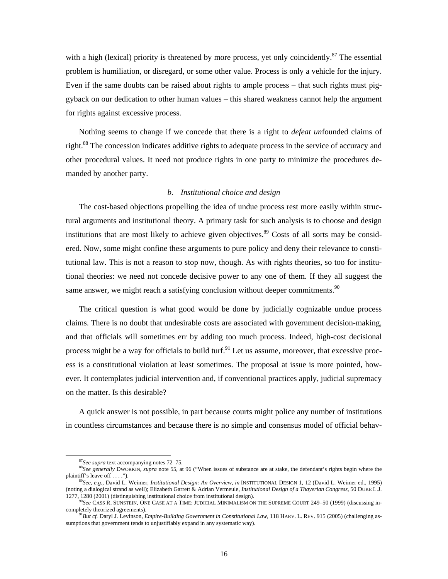with a high (lexical) priority is threatened by more process, yet only coincidently.<sup>87</sup> The essential problem is humiliation, or disregard, or some other value. Process is only a vehicle for the injury. Even if the same doubts can be raised about rights to ample process – that such rights must piggyback on our dedication to other human values – this shared weakness cannot help the argument for rights against excessive process.

 Nothing seems to change if we concede that there is a right to *defeat un*founded claims of right.<sup>88</sup> The concession indicates additive rights to adequate process in the service of accuracy and other procedural values. It need not produce rights in one party to minimize the procedures demanded by another party.

#### *b. Institutional choice and design*

 The cost-based objections propelling the idea of undue process rest more easily within structural arguments and institutional theory. A primary task for such analysis is to choose and design institutions that are most likely to achieve given objectives.<sup>89</sup> Costs of all sorts may be considered. Now, some might confine these arguments to pure policy and deny their relevance to constitutional law. This is not a reason to stop now, though. As with rights theories, so too for institutional theories: we need not concede decisive power to any one of them. If they all suggest the same answer, we might reach a satisfying conclusion without deeper commitments.<sup>90</sup>

 The critical question is what good would be done by judicially cognizable undue process claims. There is no doubt that undesirable costs are associated with government decision-making, and that officials will sometimes err by adding too much process. Indeed, high-cost decisional process might be a way for officials to build turf.<sup>91</sup> Let us assume, moreover, that excessive process is a constitutional violation at least sometimes. The proposal at issue is more pointed, however. It contemplates judicial intervention and, if conventional practices apply, judicial supremacy on the matter. Is this desirable?

 A quick answer is not possible, in part because courts might police any number of institutions in countless circumstances and because there is no simple and consensus model of official behav-

<sup>&</sup>lt;sup>87</sup>See supra text accompanying notes 72–75.<br><sup>88</sup>See generally DWORKIN, *supra* note 55, at 96 ("When issues of substance are at stake, the defendant's rights begin where the plaintiff's leave off ....").

plaintiff's leave off . . . ."). 89*See, e.g.*, David L. Weimer, *Institutional Design: An Overview*, *in* INSTITUTIONAL DESIGN 1, 12 (David L. Weimer ed., 1995) (noting a dialogical strand as well); Elizabeth Garrett & Adrian Vermeule, *Institutional Design of a Thayerian Congress*, 50 DUKE L.J.

<sup>&</sup>lt;sup>90</sup>See CASS R. SUNSTEIN, ONE CASE AT A TIME: JUDICIAL MINIMALISM ON THE SUPREME COURT 249–50 (1999) (discussing in-<br>completely theorized agreements).

<sup>&</sup>lt;sup>1</sup>But cf. Daryl J. Levinson, *Empire-Building Government in Constitutional Law*, 118 HARV. L. REV. 915 (2005) (challenging assumptions that government tends to unjustifiably expand in any systematic way).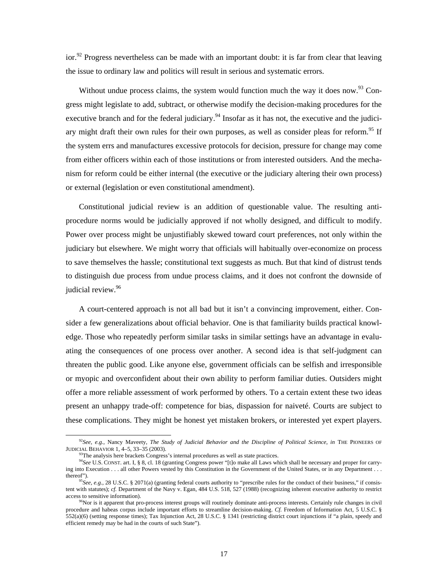$\arccos 92$  Progress nevertheless can be made with an important doubt: it is far from clear that leaving the issue to ordinary law and politics will result in serious and systematic errors.

Without undue process claims, the system would function much the way it does now.<sup>93</sup> Congress might legislate to add, subtract, or otherwise modify the decision-making procedures for the executive branch and for the federal judiciary.<sup>94</sup> Insofar as it has not, the executive and the judiciary might draft their own rules for their own purposes, as well as consider pleas for reform.<sup>95</sup> If the system errs and manufactures excessive protocols for decision, pressure for change may come from either officers within each of those institutions or from interested outsiders. And the mechanism for reform could be either internal (the executive or the judiciary altering their own process) or external (legislation or even constitutional amendment).

 Constitutional judicial review is an addition of questionable value. The resulting antiprocedure norms would be judicially approved if not wholly designed, and difficult to modify. Power over process might be unjustifiably skewed toward court preferences, not only within the judiciary but elsewhere. We might worry that officials will habitually over-economize on process to save themselves the hassle; constitutional text suggests as much. But that kind of distrust tends to distinguish due process from undue process claims, and it does not confront the downside of judicial review.<sup>96</sup>

 A court-centered approach is not all bad but it isn't a convincing improvement, either. Consider a few generalizations about official behavior. One is that familiarity builds practical knowledge. Those who repeatedly perform similar tasks in similar settings have an advantage in evaluating the consequences of one process over another. A second idea is that self-judgment can threaten the public good. Like anyone else, government officials can be selfish and irresponsible or myopic and overconfident about their own ability to perform familiar duties. Outsiders might offer a more reliable assessment of work performed by others. To a certain extent these two ideas present an unhappy trade-off: competence for bias, dispassion for naiveté. Courts are subject to these complications. They might be honest yet mistaken brokers, or interested yet expert players.

<sup>&</sup>lt;sup>92</sup>*See, e.g.*, Nancy Maveety, *The Study of Judicial Behavior and the Discipline of Political Science*, *in* THE PIONEERS OF JUDICIAL BEHAVIOR 1, 4–5, 33–35 (2003).

<sup>&</sup>lt;sup>93</sup>The analysis here brackets Congress's internal procedures as well as state practices.<br><sup>94</sup>See U.S. CONST. art. I, § 8, cl. 18 (granting Congress power "[t]o make all Laws which shall be necessary and proper for carrying into Execution . . . all other Powers vested by this Constitution in the Government of the United States, or in any Department . . . thereof").<br><sup>95</sup>*See, e.g.*, 28 U.S.C. § 2071(a) (granting federal courts authority to "prescribe rules for the conduct of their business," if consis-

tent with statutes); *cf.* Department of the Navy v. Egan, 484 U.S. 518, 527 (1988) (recognizing inherent executive authority to restrict access to sensitive information).

<sup>&</sup>lt;sup>96</sup>Nor is it apparent that pro-process interest groups will routinely dominate anti-process interests. Certainly rule changes in civil procedure and habeas corpus include important efforts to streamline decision-making. *Cf.* Freedom of Information Act, 5 U.S.C. § 552(a)(6) (setting response times); Tax Injunction Act, 28 U.S.C. § 1341 (restricting district court injunctions if "a plain, speedy and efficient remedy may be had in the courts of such State").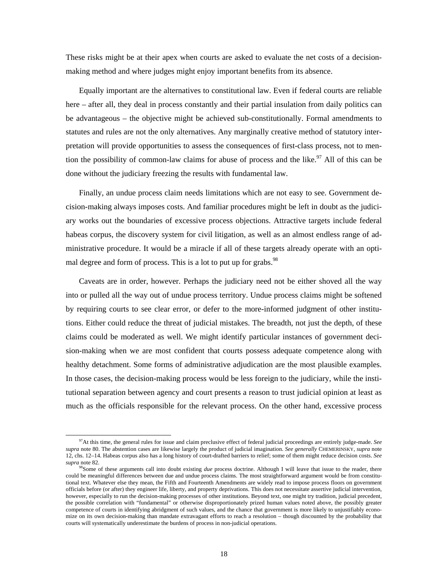These risks might be at their apex when courts are asked to evaluate the net costs of a decisionmaking method and where judges might enjoy important benefits from its absence.

 Equally important are the alternatives to constitutional law. Even if federal courts are reliable here – after all, they deal in process constantly and their partial insulation from daily politics can be advantageous – the objective might be achieved sub-constitutionally. Formal amendments to statutes and rules are not the only alternatives. Any marginally creative method of statutory interpretation will provide opportunities to assess the consequences of first-class process, not to mention the possibility of common-law claims for abuse of process and the like.<sup>97</sup> All of this can be done without the judiciary freezing the results with fundamental law.

 Finally, an undue process claim needs limitations which are not easy to see. Government decision-making always imposes costs. And familiar procedures might be left in doubt as the judiciary works out the boundaries of excessive process objections. Attractive targets include federal habeas corpus, the discovery system for civil litigation, as well as an almost endless range of administrative procedure. It would be a miracle if all of these targets already operate with an optimal degree and form of process. This is a lot to put up for grabs.<sup>98</sup>

 Caveats are in order, however. Perhaps the judiciary need not be either shoved all the way into or pulled all the way out of undue process territory. Undue process claims might be softened by requiring courts to see clear error, or defer to the more-informed judgment of other institutions. Either could reduce the threat of judicial mistakes. The breadth, not just the depth, of these claims could be moderated as well. We might identify particular instances of government decision-making when we are most confident that courts possess adequate competence along with healthy detachment. Some forms of administrative adjudication are the most plausible examples. In those cases, the decision-making process would be less foreign to the judiciary, while the institutional separation between agency and court presents a reason to trust judicial opinion at least as much as the officials responsible for the relevant process. On the other hand, excessive process

 <sup>97</sup>At this time, the general rules for issue and claim preclusive effect of federal judicial proceedings are entirely judge-made. *See supra* note 80. The abstention cases are likewise largely the product of judicial imagination. *See generally* CHEMERINSKY, *supra* note 12, chs. 12–14. Habeas corpus also has a long history of court-drafted barriers to relief; some of them might reduce decision costs. *See supra* note 82.

<sup>98</sup>Some of these arguments call into doubt existing *due* process doctrine. Although I will leave that issue to the reader, there could be meaningful differences between due and undue process claims. The most straightforward argument would be from constitutional text. Whatever else they mean, the Fifth and Fourteenth Amendments are widely read to impose process floors on government officials before (or after) they engineer life, liberty, and property deprivations. This does not necessitate assertive judicial intervention, however, especially to run the decision-making processes of other institutions. Beyond text, one might try tradition, judicial precedent, the possible correlation with "fundamental" or otherwise disproportionately prized human values noted above, the possibly greater competence of courts in identifying abridgment of such values, and the chance that government is more likely to unjustifiably economize on its own decision-making than mandate extravagant efforts to reach a resolution – though discounted by the probability that courts will systematically underestimate the burdens of process in non-judicial operations.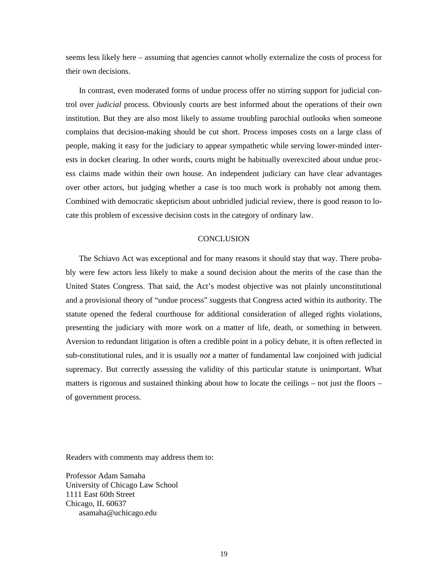seems less likely here – assuming that agencies cannot wholly externalize the costs of process for their own decisions.

 In contrast, even moderated forms of undue process offer no stirring support for judicial control over *judicial* process. Obviously courts are best informed about the operations of their own institution. But they are also most likely to assume troubling parochial outlooks when someone complains that decision-making should be cut short. Process imposes costs on a large class of people, making it easy for the judiciary to appear sympathetic while serving lower-minded interests in docket clearing. In other words, courts might be habitually overexcited about undue process claims made within their own house. An independent judiciary can have clear advantages over other actors, but judging whether a case is too much work is probably not among them. Combined with democratic skepticism about unbridled judicial review, there is good reason to locate this problem of excessive decision costs in the category of ordinary law.

#### **CONCLUSION**

 The Schiavo Act was exceptional and for many reasons it should stay that way. There probably were few actors less likely to make a sound decision about the merits of the case than the United States Congress. That said, the Act's modest objective was not plainly unconstitutional and a provisional theory of "undue process" suggests that Congress acted within its authority. The statute opened the federal courthouse for additional consideration of alleged rights violations, presenting the judiciary with more work on a matter of life, death, or something in between. Aversion to redundant litigation is often a credible point in a policy debate, it is often reflected in sub-constitutional rules, and it is usually *not* a matter of fundamental law conjoined with judicial supremacy. But correctly assessing the validity of this particular statute is unimportant. What matters is rigorous and sustained thinking about how to locate the ceilings – not just the floors – of government process.

Readers with comments may address them to:

Professor Adam Samaha University of Chicago Law School 1111 East 60th Street Chicago, IL 60637 asamaha@uchicago.edu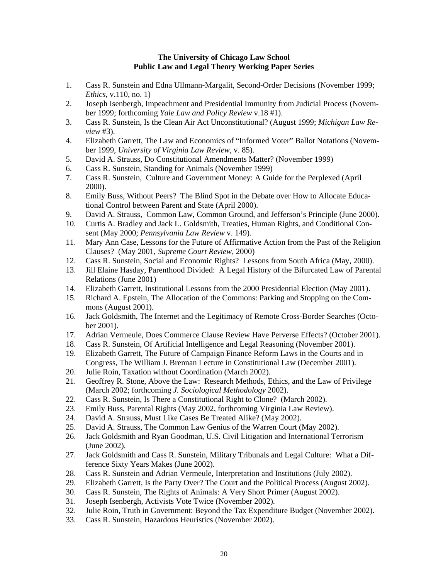#### **The University of Chicago Law School Public Law and Legal Theory Working Paper Series**

- 1. Cass R. Sunstein and Edna Ullmann-Margalit, Second-Order Decisions (November 1999; *Ethics,* v.110, no. 1)
- 2. Joseph Isenbergh, Impeachment and Presidential Immunity from Judicial Process (November 1999; forthcoming *Yale Law and Policy Review* v.18 #1).
- 3. Cass R. Sunstein, Is the Clean Air Act Unconstitutional? (August 1999; *Michigan Law Review* #3).
- 4. Elizabeth Garrett, The Law and Economics of "Informed Voter" Ballot Notations (November 1999, *University of Virginia Law Review*, v. 85).
- 5. David A. Strauss, Do Constitutional Amendments Matter? (November 1999)
- 6. Cass R. Sunstein, Standing for Animals (November 1999)
- 7. Cass R. Sunstein, Culture and Government Money: A Guide for the Perplexed (April 2000).
- 8. Emily Buss, Without Peers? The Blind Spot in the Debate over How to Allocate Educational Control between Parent and State (April 2000).
- 9. David A. Strauss, Common Law, Common Ground, and Jefferson's Principle (June 2000).
- 10. Curtis A. Bradley and Jack L. Goldsmith, Treaties, Human Rights, and Conditional Consent (May 2000; *Pennsylvania Law Review* v. 149).
- 11. Mary Ann Case, Lessons for the Future of Affirmative Action from the Past of the Religion Clauses? (May 2001, *Supreme Court Review*, 2000)
- 12. Cass R. Sunstein, Social and Economic Rights? Lessons from South Africa (May, 2000).
- 13. Jill Elaine Hasday, Parenthood Divided: A Legal History of the Bifurcated Law of Parental Relations (June 2001)
- 14. Elizabeth Garrett, Institutional Lessons from the 2000 Presidential Election (May 2001).
- 15. Richard A. Epstein, The Allocation of the Commons: Parking and Stopping on the Commons (August 2001).
- 16. Jack Goldsmith, The Internet and the Legitimacy of Remote Cross-Border Searches (October 2001).
- 17. Adrian Vermeule, Does Commerce Clause Review Have Perverse Effects? (October 2001).
- 18. Cass R. Sunstein, Of Artificial Intelligence and Legal Reasoning (November 2001).
- 19. Elizabeth Garrett, The Future of Campaign Finance Reform Laws in the Courts and in Congress, The William J. Brennan Lecture in Constitutional Law (December 2001).
- 20. Julie Roin, Taxation without Coordination (March 2002).
- 21. Geoffrey R. Stone, Above the Law: Research Methods, Ethics, and the Law of Privilege (March 2002; forthcoming *J. Sociological Methodology* 2002).
- 22. Cass R. Sunstein, Is There a Constitutional Right to Clone? (March 2002).
- 23. Emily Buss, Parental Rights (May 2002, forthcoming Virginia Law Review).
- 24. David A. Strauss, Must Like Cases Be Treated Alike? (May 2002).
- 25. David A. Strauss, The Common Law Genius of the Warren Court (May 2002).
- 26. Jack Goldsmith and Ryan Goodman, U.S. Civil Litigation and International Terrorism (June 2002).
- 27. Jack Goldsmith and Cass R. Sunstein, Military Tribunals and Legal Culture: What a Difference Sixty Years Makes (June 2002).
- 28. Cass R. Sunstein and Adrian Vermeule, Interpretation and Institutions (July 2002).
- 29. Elizabeth Garrett, Is the Party Over? The Court and the Political Process (August 2002).
- 30. Cass R. Sunstein, The Rights of Animals: A Very Short Primer (August 2002).
- 31. Joseph Isenbergh, Activists Vote Twice (November 2002).
- 32. Julie Roin, Truth in Government: Beyond the Tax Expenditure Budget (November 2002).
- 33. Cass R. Sunstein, Hazardous Heuristics (November 2002).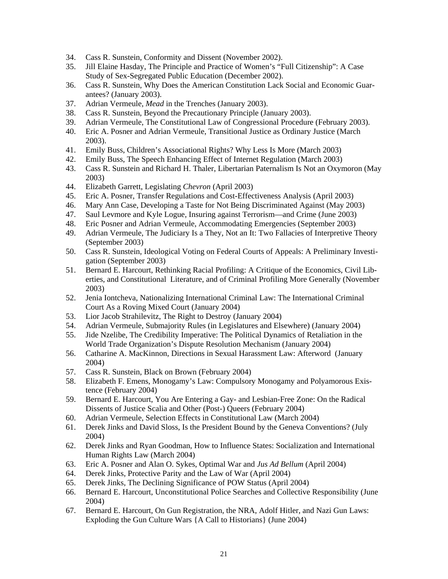- 34. Cass R. Sunstein, Conformity and Dissent (November 2002).
- 35. Jill Elaine Hasday, The Principle and Practice of Women's "Full Citizenship": A Case Study of Sex-Segregated Public Education (December 2002).
- 36. Cass R. Sunstein, Why Does the American Constitution Lack Social and Economic Guarantees? (January 2003).
- 37. Adrian Vermeule, *Mead* in the Trenches (January 2003).
- 38. Cass R. Sunstein, Beyond the Precautionary Principle (January 2003).
- 39. Adrian Vermeule, The Constitutional Law of Congressional Procedure (February 2003).
- 40. Eric A. Posner and Adrian Vermeule, Transitional Justice as Ordinary Justice (March 2003).
- 41. Emily Buss, Children's Associational Rights? Why Less Is More (March 2003)
- 42. Emily Buss, The Speech Enhancing Effect of Internet Regulation (March 2003)
- 43. Cass R. Sunstein and Richard H. Thaler, Libertarian Paternalism Is Not an Oxymoron (May 2003)
- 44. Elizabeth Garrett, Legislating *Chevron* (April 2003)
- 45. Eric A. Posner, Transfer Regulations and Cost-Effectiveness Analysis (April 2003)
- 46. Mary Ann Case, Developing a Taste for Not Being Discriminated Against (May 2003)
- 47. Saul Levmore and Kyle Logue, Insuring against Terrorism—and Crime (June 2003)
- 48. Eric Posner and Adrian Vermeule, Accommodating Emergencies (September 2003)
- 49. Adrian Vermeule, The Judiciary Is a They, Not an It: Two Fallacies of Interpretive Theory (September 2003)
- 50. Cass R. Sunstein, Ideological Voting on Federal Courts of Appeals: A Preliminary Investigation (September 2003)
- 51. Bernard E. Harcourt, Rethinking Racial Profiling: A Critique of the Economics, Civil Liberties, and Constitutional Literature, and of Criminal Profiling More Generally (November 2003)
- 52. Jenia Iontcheva, Nationalizing International Criminal Law: The International Criminal Court As a Roving Mixed Court (January 2004)
- 53. Lior Jacob Strahilevitz, The Right to Destroy (January 2004)
- 54. Adrian Vermeule, Submajority Rules (in Legislatures and Elsewhere) (January 2004)
- 55. Jide Nzelibe, The Credibility Imperative: The Political Dynamics of Retaliation in the World Trade Organization's Dispute Resolution Mechanism (January 2004)
- 56. Catharine A. MacKinnon, Directions in Sexual Harassment Law: Afterword (January 2004)
- 57. Cass R. Sunstein, Black on Brown (February 2004)
- 58. Elizabeth F. Emens, Monogamy's Law: Compulsory Monogamy and Polyamorous Existence (February 2004)
- 59. Bernard E. Harcourt, You Are Entering a Gay- and Lesbian-Free Zone: On the Radical Dissents of Justice Scalia and Other (Post-) Queers (February 2004)
- 60. Adrian Vermeule, Selection Effects in Constitutional Law (March 2004)
- 61. Derek Jinks and David Sloss, Is the President Bound by the Geneva Conventions? (July 2004)
- 62. Derek Jinks and Ryan Goodman, How to Influence States: Socialization and International Human Rights Law (March 2004)
- 63. Eric A. Posner and Alan O. Sykes, Optimal War and *Jus Ad Bellum* (April 2004)
- 64. Derek Jinks, Protective Parity and the Law of War (April 2004)
- 65. Derek Jinks, The Declining Significance of POW Status (April 2004)
- 66. Bernard E. Harcourt, Unconstitutional Police Searches and Collective Responsibility (June 2004)
- 67. Bernard E. Harcourt, On Gun Registration, the NRA, Adolf Hitler, and Nazi Gun Laws: Exploding the Gun Culture Wars {A Call to Historians} (June 2004)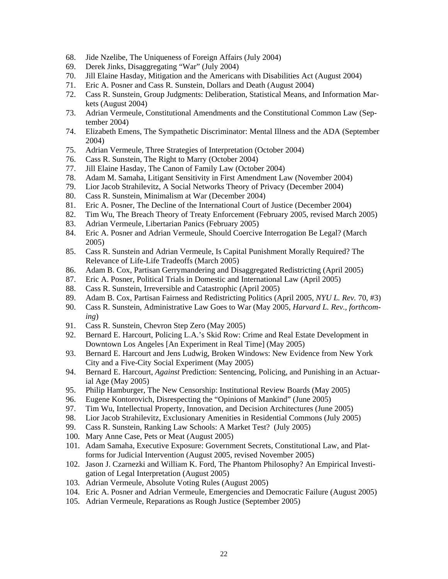- 68. Jide Nzelibe, The Uniqueness of Foreign Affairs (July 2004)
- 69. Derek Jinks, Disaggregating "War" (July 2004)
- 70. Jill Elaine Hasday, Mitigation and the Americans with Disabilities Act (August 2004)
- 71. Eric A. Posner and Cass R. Sunstein, Dollars and Death (August 2004)
- 72. Cass R. Sunstein, Group Judgments: Deliberation, Statistical Means, and Information Markets (August 2004)
- 73. Adrian Vermeule, Constitutional Amendments and the Constitutional Common Law (September 2004)
- 74. Elizabeth Emens, The Sympathetic Discriminator: Mental Illness and the ADA (September 2004)
- 75. Adrian Vermeule, Three Strategies of Interpretation (October 2004)
- 76. Cass R. Sunstein, The Right to Marry (October 2004)
- 77. Jill Elaine Hasday, The Canon of Family Law (October 2004)
- 78. Adam M. Samaha, Litigant Sensitivity in First Amendment Law (November 2004)
- 79. Lior Jacob Strahilevitz, A Social Networks Theory of Privacy (December 2004)
- 80. Cass R. Sunstein, Minimalism at War (December 2004)
- 81. Eric A. Posner, The Decline of the International Court of Justice (December 2004)
- 82. Tim Wu, The Breach Theory of Treaty Enforcement (February 2005, revised March 2005)
- 83. Adrian Vermeule, Libertarian Panics (February 2005)
- 84. Eric A. Posner and Adrian Vermeule, Should Coercive Interrogation Be Legal? (March 2005)
- 85. Cass R. Sunstein and Adrian Vermeule, Is Capital Punishment Morally Required? The Relevance of Life-Life Tradeoffs (March 2005)
- 86. Adam B. Cox, Partisan Gerrymandering and Disaggregated Redistricting (April 2005)
- 87. Eric A. Posner, Political Trials in Domestic and International Law (April 2005)
- 88. Cass R. Sunstein, Irreversible and Catastrophic (April 2005)
- 89. Adam B. Cox, Partisan Fairness and Redistricting Politics (April 2005, *NYU L. Rev.* 70, #3)
- 90. Cass R. Sunstein, Administrative Law Goes to War (May 2005, *Harvard L. Rev., forthcoming*)
- 91. Cass R. Sunstein, Chevron Step Zero (May 2005)
- 92. Bernard E. Harcourt, Policing L.A.'s Skid Row: Crime and Real Estate Development in Downtown Los Angeles [An Experiment in Real Time] (May 2005)
- 93. Bernard E. Harcourt and Jens Ludwig, Broken Windows: New Evidence from New York City and a Five-City Social Experiment (May 2005)
- 94. Bernard E. Harcourt, *Against* Prediction: Sentencing, Policing, and Punishing in an Actuarial Age (May 2005)
- 95. Philip Hamburger, The New Censorship: Institutional Review Boards (May 2005)
- 96. Eugene Kontorovich, Disrespecting the "Opinions of Mankind" (June 2005)
- 97. Tim Wu, Intellectual Property, Innovation, and Decision Architectures (June 2005)
- 98. Lior Jacob Strahilevitz, Exclusionary Amenities in Residential Commons (July 2005)
- 99. Cass R. Sunstein, Ranking Law Schools: A Market Test? (July 2005)
- 100. Mary Anne Case, Pets or Meat (August 2005)
- 101. Adam Samaha, Executive Exposure: Government Secrets, Constitutional Law, and Platforms for Judicial Intervention (August 2005, revised November 2005)
- 102. Jason J. Czarnezki and William K. Ford, The Phantom Philosophy? An Empirical Investigation of Legal Interpretation (August 2005)
- 103. Adrian Vermeule, Absolute Voting Rules (August 2005)
- 104. Eric A. Posner and Adrian Vermeule, Emergencies and Democratic Failure (August 2005)
- 105. Adrian Vermeule, Reparations as Rough Justice (September 2005)